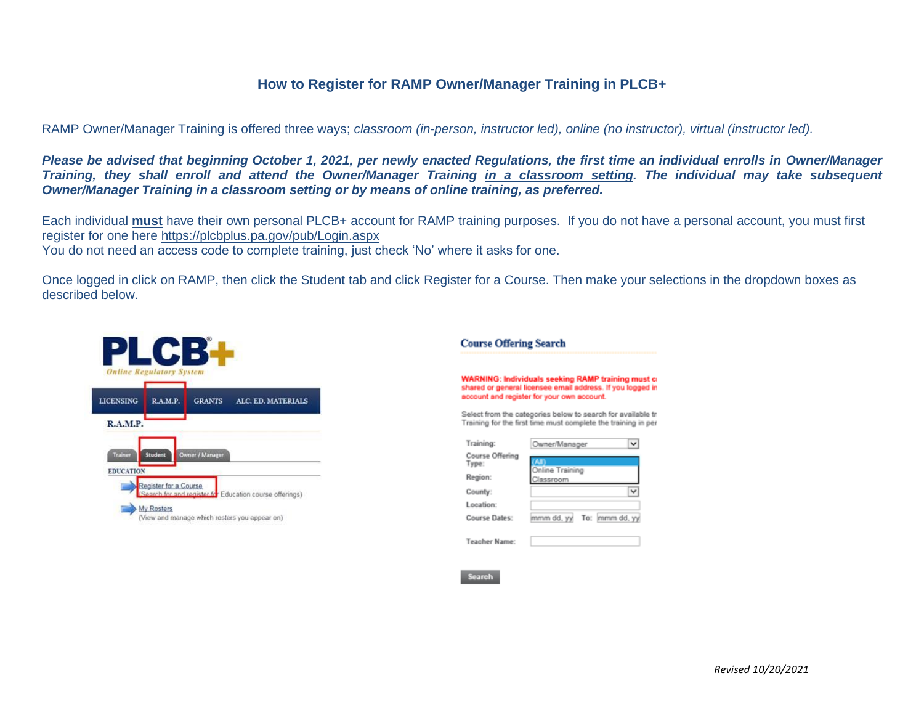## **How to Register for RAMP Owner/Manager Training in PLCB+**

RAMP Owner/Manager Training is offered three ways; *classroom (in-person, instructor led), online (no instructor), virtual (instructor led).*

*Please be advised that beginning October 1, 2021, per newly enacted Regulations, the first time an individual enrolls in Owner/Manager Training, they shall enroll and attend the Owner/Manager Training in a classroom setting. The individual may take subsequent Owner/Manager Training in a classroom setting or by means of online training, as preferred.*

Each individual **must** have their own personal PLCB+ account for RAMP training purposes. If you do not have a personal account, you must first register for one here<https://plcbplus.pa.gov/pub/Login.aspx>

You do not need an access code to complete training, just check 'No' where it asks for one.

Once logged in click on RAMP, then click the Student tab and click Register for a Course. Then make your selections in the dropdown boxes as described below.

| <b>LICENSING</b> | R.A.M.P.       | <b>GRANTS</b>   | ALC. ED. MATERIALS |
|------------------|----------------|-----------------|--------------------|
| R.A.M.P.         |                |                 |                    |
|                  |                |                 |                    |
| <b>Trainer</b>   | <b>Student</b> | Owner / Manager |                    |

## **Course Offering Search**

**WARNING: Individuals seeking RAMP training must of** shared or general licensee email address. If you logged in account and register for your own account.

Select from the categories below to search for available tr Training for the first time must complete the training in per

| Training:                | Owner/Manager                |  |  |  |  |
|--------------------------|------------------------------|--|--|--|--|
| Course Offering<br>Type: | Online Training<br>Classroom |  |  |  |  |
| Region:                  |                              |  |  |  |  |
| County:                  |                              |  |  |  |  |
| Location:                |                              |  |  |  |  |
| Course Dates:            | mmm dd, yy To: mmm dd, yy    |  |  |  |  |
|                          |                              |  |  |  |  |
| Teacher Name:            |                              |  |  |  |  |

Search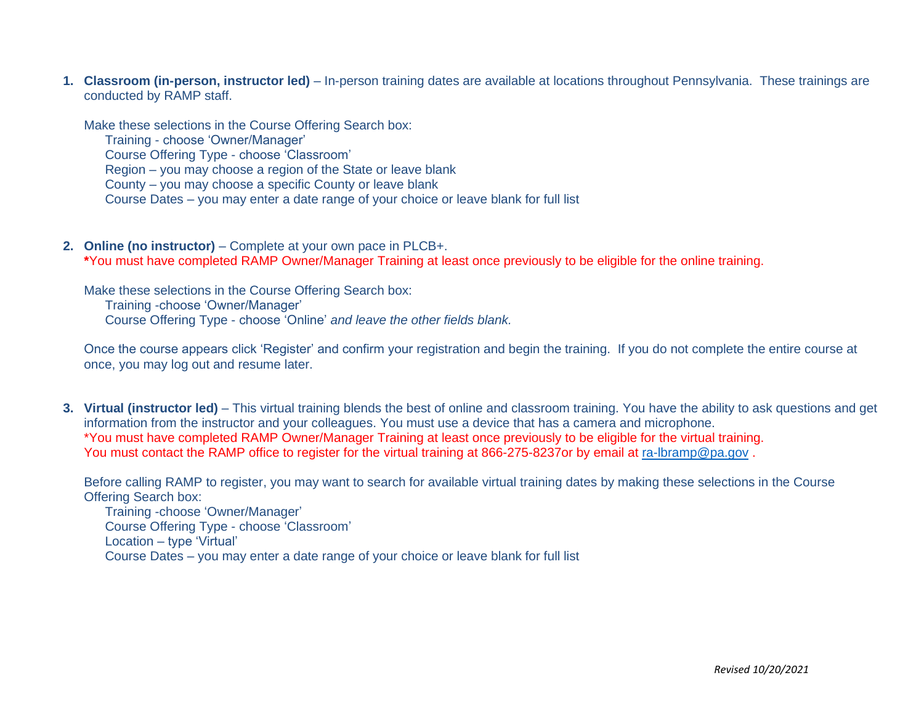**1. Classroom (in-person, instructor led)** *–* In-person training dates are available at locations throughout Pennsylvania. These trainings are conducted by RAMP staff.

Make these selections in the Course Offering Search box:

Training - choose 'Owner/Manager'

Course Offering Type - choose 'Classroom'

Region – you may choose a region of the State or leave blank

County – you may choose a specific County or leave blank

Course Dates – you may enter a date range of your choice or leave blank for full list

**2. Online (no instructor)** – Complete at your own pace in PLCB+. **\***You must have completed RAMP Owner/Manager Training at least once previously to be eligible for the online training.

Make these selections in the Course Offering Search box: Training -choose 'Owner/Manager' Course Offering Type - choose 'Online' *and leave the other fields blank.*

Once the course appears click 'Register' and confirm your registration and begin the training. If you do not complete the entire course at once, you may log out and resume later.

**3. Virtual (instructor led)** – This virtual training blends the best of online and classroom training. You have the ability to ask questions and get information from the instructor and your colleagues. You must use a device that has a camera and microphone. \*You must have completed RAMP Owner/Manager Training at least once previously to be eligible for the virtual training. You must contact the RAMP office to register for the virtual training at 866-275-8237or by email at ra-Ibramp@pa.gov.

Before calling RAMP to register, you may want to search for available virtual training dates by making these selections in the Course Offering Search box:

Training -choose 'Owner/Manager' Course Offering Type - choose 'Classroom' Location – type 'Virtual' Course Dates – you may enter a date range of your choice or leave blank for full list